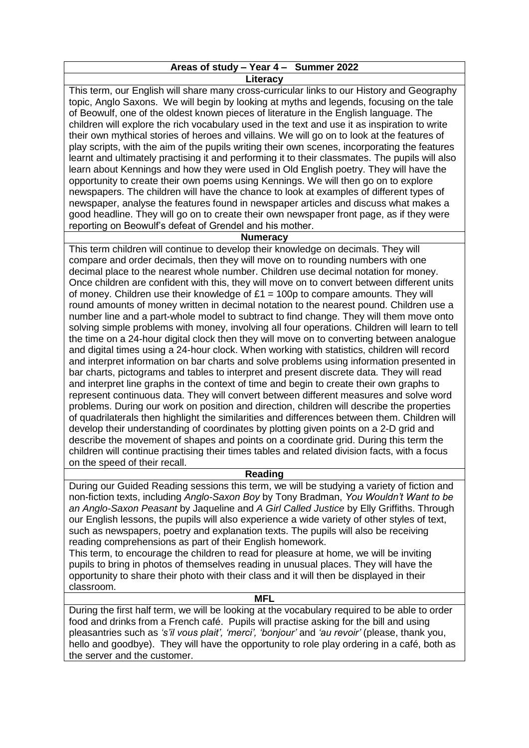# **Areas of study – Year 4 – Summer 2022 Literacy**

This term, our English will share many cross-curricular links to our History and Geography topic, Anglo Saxons. We will begin by looking at myths and legends, focusing on the tale of Beowulf, one of the oldest known pieces of literature in the English language. The children will explore the rich vocabulary used in the text and use it as inspiration to write their own mythical stories of heroes and villains. We will go on to look at the features of play scripts, with the aim of the pupils writing their own scenes, incorporating the features learnt and ultimately practising it and performing it to their classmates. The pupils will also learn about Kennings and how they were used in Old English poetry. They will have the opportunity to create their own poems using Kennings. We will then go on to explore newspapers. The children will have the chance to look at examples of different types of newspaper, analyse the features found in newspaper articles and discuss what makes a good headline. They will go on to create their own newspaper front page, as if they were reporting on Beowulf's defeat of Grendel and his mother.

# **Numeracy**

This term children will continue to develop their knowledge on decimals. They will compare and order decimals, then they will move on to rounding numbers with one decimal place to the nearest whole number. Children use decimal notation for money. Once children are confident with this, they will move on to convert between different units of money. Children use their knowledge of  $£1 = 100p$  to compare amounts. They will round amounts of money written in decimal notation to the nearest pound. Children use a number line and a part-whole model to subtract to find change. They will them move onto solving simple problems with money, involving all four operations. Children will learn to tell the time on a 24-hour digital clock then they will move on to converting between analogue and digital times using a 24-hour clock. When working with statistics, children will record and interpret information on bar charts and solve problems using information presented in bar charts, pictograms and tables to interpret and present discrete data. They will read and interpret line graphs in the context of time and begin to create their own graphs to represent continuous data. They will convert between different measures and solve word problems. During our work on position and direction, children will describe the properties of quadrilaterals then highlight the similarities and differences between them. Children will develop their understanding of coordinates by plotting given points on a 2-D grid and describe the movement of shapes and points on a coordinate grid. During this term the children will continue practising their times tables and related division facts, with a focus on the speed of their recall.

# **Reading**

During our Guided Reading sessions this term, we will be studying a variety of fiction and non-fiction texts, including *Anglo-Saxon Boy* by Tony Bradman, *You Wouldn't Want to be an Anglo-Saxon Peasant* by Jaqueline and *A Girl Called Justice* by Elly Griffiths. Through our English lessons, the pupils will also experience a wide variety of other styles of text, such as newspapers, poetry and explanation texts. The pupils will also be receiving reading comprehensions as part of their English homework.

This term, to encourage the children to read for pleasure at home, we will be inviting pupils to bring in photos of themselves reading in unusual places. They will have the opportunity to share their photo with their class and it will then be displayed in their classroom.

#### **MFL**

During the first half term, we will be looking at the vocabulary required to be able to order food and drinks from a French café. Pupils will practise asking for the bill and using pleasantries such as *'s'il vous plait', 'merci', 'bonjour'* and *'au revoir'* (please, thank you, hello and goodbye). They will have the opportunity to role play ordering in a café, both as the server and the customer.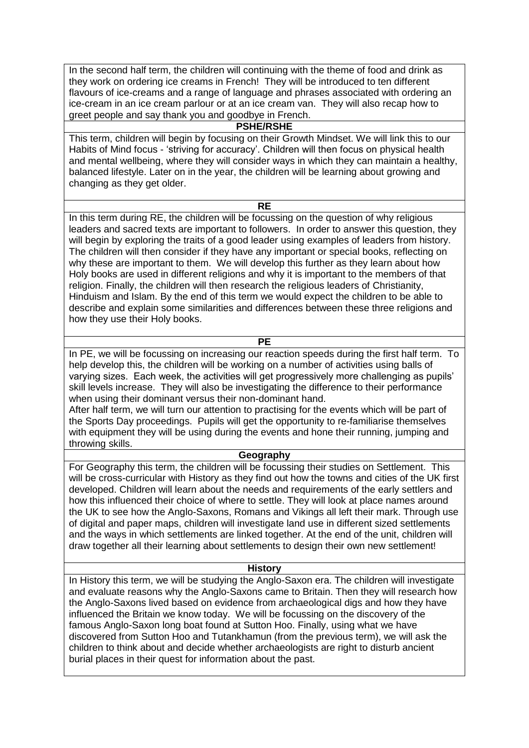In the second half term, the children will continuing with the theme of food and drink as they work on ordering ice creams in French! They will be introduced to ten different flavours of ice-creams and a range of language and phrases associated with ordering an ice-cream in an ice cream parlour or at an ice cream van. They will also recap how to greet people and say thank you and goodbye in French.

# **PSHE/RSHE**

This term, children will begin by focusing on their Growth Mindset. We will link this to our Habits of Mind focus - 'striving for accuracy'. Children will then focus on physical health and mental wellbeing, where they will consider ways in which they can maintain a healthy, balanced lifestyle. Later on in the year, the children will be learning about growing and changing as they get older.

### **RE**

In this term during RE, the children will be focussing on the question of why religious leaders and sacred texts are important to followers. In order to answer this question, they will begin by exploring the traits of a good leader using examples of leaders from history. The children will then consider if they have any important or special books, reflecting on why these are important to them. We will develop this further as they learn about how Holy books are used in different religions and why it is important to the members of that religion. Finally, the children will then research the religious leaders of Christianity, Hinduism and Islam. By the end of this term we would expect the children to be able to describe and explain some similarities and differences between these three religions and how they use their Holy books.

**PE**

In PE, we will be focussing on increasing our reaction speeds during the first half term. To help develop this, the children will be working on a number of activities using balls of varying sizes. Each week, the activities will get progressively more challenging as pupils' skill levels increase. They will also be investigating the difference to their performance when using their dominant versus their non-dominant hand.

After half term, we will turn our attention to practising for the events which will be part of the Sports Day proceedings. Pupils will get the opportunity to re-familiarise themselves with equipment they will be using during the events and hone their running, jumping and throwing skills.

# **Geography**

For Geography this term, the children will be focussing their studies on Settlement. This will be cross-curricular with History as they find out how the towns and cities of the UK first developed. Children will learn about the needs and requirements of the early settlers and how this influenced their choice of where to settle. They will look at place names around the UK to see how the Anglo-Saxons, Romans and Vikings all left their mark. Through use of digital and paper maps, children will investigate land use in different sized settlements and the ways in which settlements are linked together. At the end of the unit, children will draw together all their learning about settlements to design their own new settlement!

#### **History**

In History this term, we will be studying the Anglo-Saxon era. The children will investigate and evaluate reasons why the Anglo-Saxons came to Britain. Then they will research how the Anglo-Saxons lived based on evidence from archaeological digs and how they have influenced the Britain we know today. We will be focussing on the discovery of the famous Anglo-Saxon long boat found at Sutton Hoo. Finally, using what we have discovered from Sutton Hoo and Tutankhamun (from the previous term), we will ask the children to think about and decide whether archaeologists are right to disturb ancient burial places in their quest for information about the past.